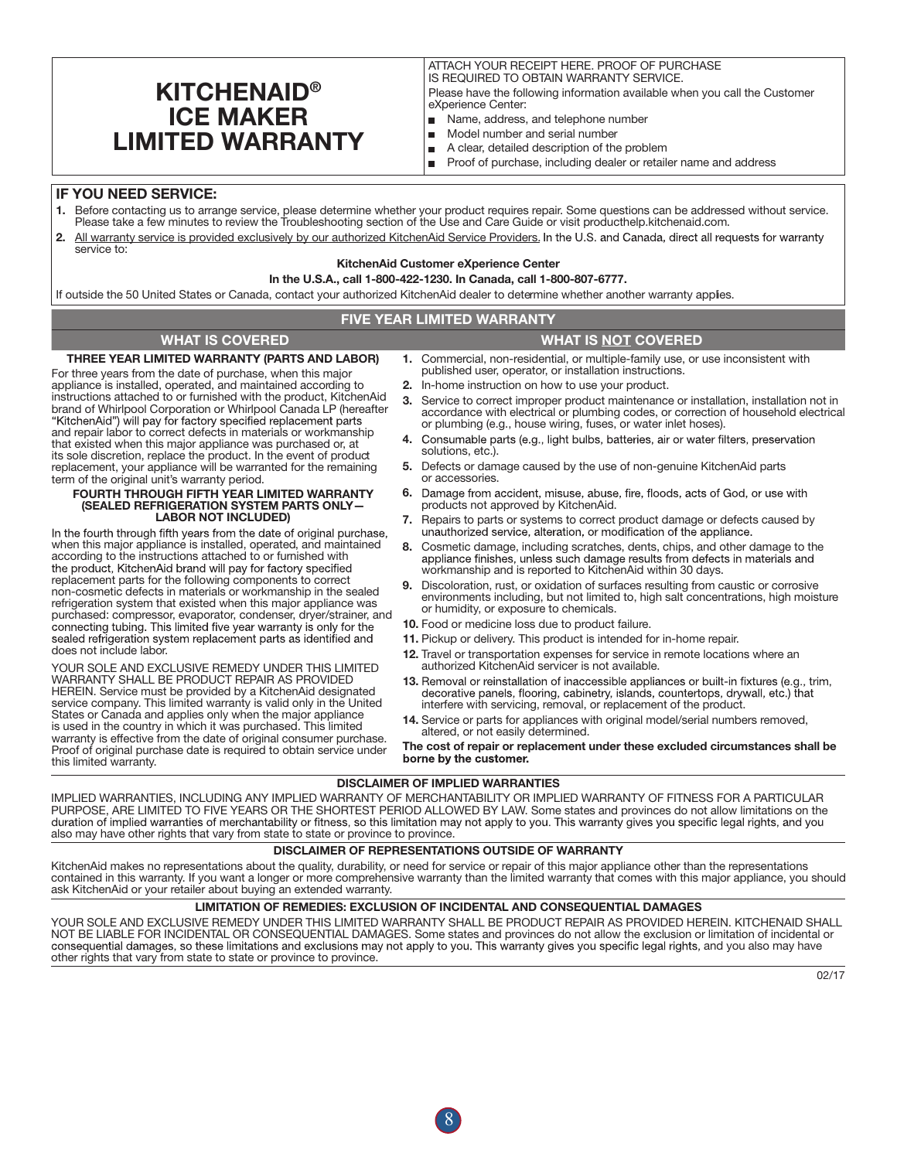# **KITCHENAID®** ICE MAKER LIMITED WARRANTY

ATTACH YOUR RECEIPT HERE. PROOF OF PURCHASE IS REQUIRED TO OBTAIN WARRANTY SERVICE. Please have the following information available when you call the Customer eXperience Center:

- Name, address, and telephone number  $\blacksquare$
- $\blacksquare$ Model number and serial number
- A clear, detailed description of the problem  $\blacksquare$
- Proof of purchase, including dealer or retailer name and address  $\blacksquare$

### IF YOU NEED SERVICE:

- 1. Before contacting us to arrange service, please determine whether your product requires repair. Some questions can be addressed without service. Please take a few minutes to review the Troubleshooting section of the Use and Care Guide or visit producthelp.kitchenaid.com.
- 2. All warranty service is provided exclusively by our authorized KitchenAid Service Providers. In the U.S. and Canada, direct all requests for warranty service to:

#### KitchenAid Customer eXperience Center

#### In the U.S.A., call 1-800-422-1230. In Canada, call 1-800-807-6777.

If outside the 50 United States or Canada, contact your authorized KitchenAid dealer to determine whether another warranty applies.

### FIVE YEAR LIMITED WARRANTY

# WHAT IS COVERED WHAT IS NOT COVERED

THREE YEAR LIMITED WARRANTY (PARTS AND LABOR)

For three years from the date of purchase, when this major appliance is installed, operated, and maintained according to instructions attached to or furnished with the product, KitchenAid brand of Whirlpool Corporation or Whirlpool Canada LP (hereafter "KitchenAid") will pay for factory specified replacement parts and repair labor to correct defects in materials or workmanship that existed when this major appliance was purchased or, at its sole discretion, replace the product. In the event of product replacement, your appliance will be warranted for the remaining term of the original unit's warranty period.

#### FOURTH THROUGH FIFTH YEAR LIMITED WARRANTY (SEALED REFRIGERATION SYSTEM PARTS ONLY— LABOR NOT INCLUDED)

In the fourth through fifth years from the date of original purchase, when this major appliance is installed, operated, and maintained according to the instructions attached to or furnished with<br>the product, KitchenAid brand will pay for factory specified replacement parts for the following components to correct non-cosmetic defects in materials or workmanship in the sealed refrigeration system that existed when this major appliance was purchased: compressor, evaporator, condenser, dryer/strainer, and connecting tubing. This limited five year warranty is only for the sealed refrigeration system replacement parts as identified and does not include labor.

YOUR SOLE AND EXCLUSIVE REMEDY UNDER THIS LIMITED WARRANTY SHALL BE PRODUCT REPAIR AS PROVIDED HEREIN. Service must be provided by a KitchenAid designated service company. This limited warranty is valid only in the United States or Canada and applies only when the major appliance is used in the country in which it was purchased. This limited warranty is effective from the date of original consumer purchase. Proof of original purchase date is required to obtain service under this limited warranty.

- 1. Commercial, non-residential, or multiple-family use, or use inconsistent with published user, operator, or installation instructions.
- 2. In-home instruction on how to use your product.
- 3. Service to correct improper product maintenance or installation, installation not in accordance with electrical or plumbing codes, or correction of household electrical or plumbing (e.g., house wiring, fuses, or water inlet hoses).
- 4. Consumable parts (e.g., light bulbs, batteries, air or water filters, preservation solutions, etc.).
- 5. Defects or damage caused by the use of non-genuine KitchenAid parts or accessories.
- 6. Damage from accident, misuse, abuse, fire, floods, acts of God, or use with products not approved by KitchenAid.
- 7. Repairs to parts or systems to correct product damage or defects caused by unauthorized service, alteration, or modification of the appliance.
- 8. Cosmetic damage, including scratches, dents, chips, and other damage to the appliance finishes, unless such damage results from defects in materials and workmanship and is reported to KitchenAid within 30 days.
- 9. Discoloration, rust, or oxidation of surfaces resulting from caustic or corrosive environments including, but not limited to, high salt concentrations, high moisture or humidity, or exposure to chemicals.
- 10. Food or medicine loss due to product failure.
- 11. Pickup or delivery. This product is intended for in-home repair.
- 12. Travel or transportation expenses for service in remote locations where an authorized KitchenAid servicer is not available.
- 13. Removal or reinstallation of inaccessible appliances or built-in fixtures (e.g., trim, decorative panels, flooring, cabinetry, islands, countertops, drywall, etc.) that<br>interfere with servicing, removal, or replacement of the product.
- 14. Service or parts for appliances with original model/serial numbers removed, altered, or not easily determined.

The cost of repair or replacement under these excluded circumstances shall be

#### DISCLAIMER OF IMPLIED WARRANTIES

IMPLIED WARRANTIES, INCLUDING ANY IMPLIED WARRANTY OF MERCHANTABILITY OR IMPLIED WARRANTY OF FITNESS FOR A PARTICULAR PURPOSE, ARE LIMITED TO FIVE YEARS OR THE SHORTEST PERIOD ALLOWED BY LAW. Some states and provinces do not allow limitations on the duration of implied warranties of merchantability or fitness, so this limitation may not apply to you. This warranty gives you specific legal rights, and you<br>also may have other rights that vary from state to state or prov

#### DISCLAIMER OF REPRESENTATIONS OUTSIDE OF WARRANTY

KitchenAid makes no representations about the quality, durability, or need for service or repair of this major appliance other than the representations contained in this warranty. If you want a longer or more comprehensive warranty than the limited warranty that comes with this major appliance, you should ask KitchenAid or your retailer about buying an extended warranty.

#### LIMITATION OF REMEDIES: EXCLUSION OF INCIDENTAL AND CONSEQUENTIAL DAMAGES

consequential damages, so these limitations and exclusions may not apply to you. This warranty gives you specific legal rights, and you also may have other rights that vary from state to state or province to province. YOUR SOLE AND EXCLUSIVE REMEDY UNDER THIS LIMITED WARRANTY SHALL BE PRODUCT REPAIR AS PROVIDED HEREIN. KITCHENAID SHALL NOT BE LIABLE FOR INCIDENTAL OR CONSEQUENTIAL DAMAGES. Some states and provinces do not allow the exclusion or limitation of incidental or

8

02/17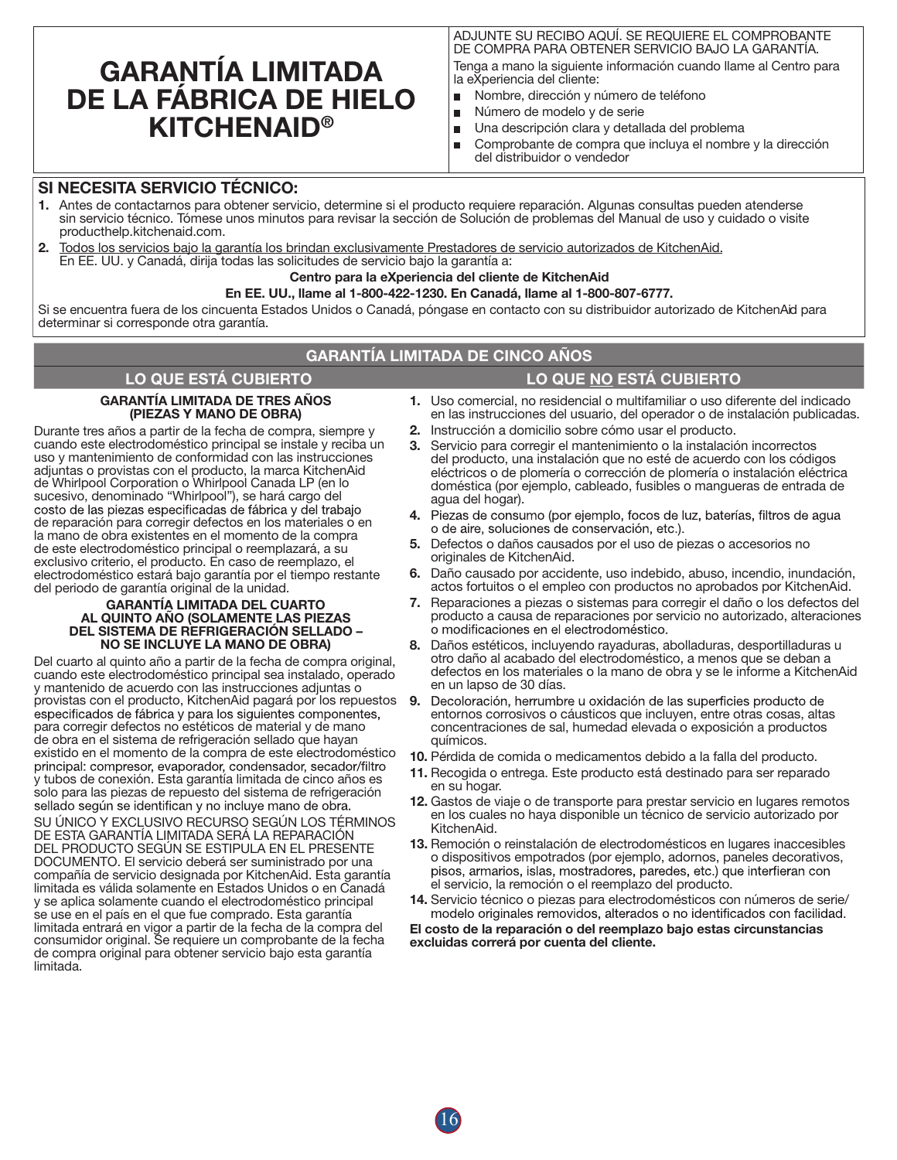# GARANTÍA LIMITADA DE LA FÁBRICA DE HIELO **KITCHENAID®**

ADJUNTE SU RECIBO AQUÍ. SE REQUIERE EL COMPROBANTE DE COMPRA PARA OBTENER SERVICIO BAJO LA GARANTÍA.

Tenga a mano la siguiente información cuando llame al Centro para la eXperiencia del cliente:

- m. Nombre, dirección y número de teléfono
- Número de modelo y de serie É
- Una descripción clara y detallada del problema  $\blacksquare$
- Comprobante de compra que incluya el nombre y la dirección  $\blacksquare$ del distribuidor o vendedor

# SI NECESITA SERVICIO TÉCNICO:

- 1. Antes de contactarnos para obtener servicio, determine si el producto requiere reparación. Algunas consultas pueden atenderse sin servicio técnico. Tómese unos minutos para revisar la sección de Solución de problemas del Manual de uso y cuidado o visite producthelp.kitchenaid.com.
- 2. Todos los servicios bajo la garantía los brindan exclusivamente Prestadores de servicio autorizados de KitchenAid. En EE. UU. y Canadá, dirija todas las solicitudes de servicio bajo la garantía a:

### Centro para la eXperiencia del cliente de KitchenAid

#### En EE. UU., llame al 1-800-422-1230. En Canadá, llame al 1-800-807-6777.

Si se encuentra fuera de los cincuenta Estados Unidos o Canadá, póngase en contacto con su distribuidor autorizado de KitchenAid para determinar si corresponde otra garantía.

# GARANTÍA LIMITADA DE CINCO AÑOS

# LO QUE ESTÁ CUBIERTO LO QUE NO ESTÁ CUBIERTO

#### GARANTÍA LIMITADA DE TRES AÑOS (PIEZAS Y MANO DE OBRA)

Durante tres años a partir de la fecha de compra, siempre y cuando este electrodoméstico principal se instale y reciba un uso y mantenimiento de conformidad con las instrucciones adjuntas o provistas con el producto, la marca KitchenAid de Whirlpool Corporation o Whirlpool Canada LP (en lo sucesivo, denominado "Whirlpool"), se hará cargo del<br>costo de las piezas especificadas de fábrica y del trabajo de reparación para corregir defectos en los materiales o en la mano de obra existentes en el momento de la compra de este electrodoméstico principal o reemplazará, a su exclusivo criterio, el producto. En caso de reemplazo, el electrodoméstico estará bajo garantía por el tiempo restante del periodo de garantía original de la unidad.

#### GARANTÍA LIMITADA DEL CUARTO AL QUINTO AÑO (SOLAMENTE LAS PIEZAS DEL SISTEMA DE REFRIGERACIÓN SELLADO – NO SE INCLUYE LA MANO DE OBRA)

Del cuarto al quinto año a partir de la fecha de compra original, cuando este electrodoméstico principal sea instalado, operado y mantenido de acuerdo con las instrucciones adjuntas o provistas con el producto, KitchenAid pagará por los repuestos especificados de fábrica y para los siguientes componentes, para corregir defectos no estéticos de material y de mano de obra en el sistema de refrigeración sellado que hayan existido en el momento de la compra de este electrodoméstico y tubos de conexión. Esta garantía limitada de cinco años es solo para las piezas de repuesto del sistema de refrigeración sellado según se identifican y no incluye mano de obra. SU ÚNICO Y EXCLUSIVO RECURSO SEGÚN LOS TÉRMINOS DE ESTA GARANTÍA LIMITADA SERÁ LA REPARACIÓN DEL PRODUCTO SEGÚN SE ESTIPULA EN EL PRESENTE DOCUMENTO. El servicio deberá ser suministrado por una compañía de servicio designada por KitchenAid. Esta garantía limitada es válida solamente en Estados Unidos o en Canadá y se aplica solamente cuando el electrodoméstico principal se use en el país en el que fue comprado. Esta garantía limitada entrará en vigor a partir de la fecha de la compra del consumidor original. Se requiere un comprobante de la fecha de compra original para obtener servicio bajo esta garantía limitada.

- 1. Uso comercial, no residencial o multifamiliar o uso diferente del indicado en las instrucciones del usuario, del operador o de instalación publicadas.
- 2. Instrucción a domicilio sobre cómo usar el producto.
- 3. Servicio para corregir el mantenimiento o la instalación incorrectos del producto, una instalación que no esté de acuerdo con los códigos eléctricos o de plomería o corrección de plomería o instalación eléctrica doméstica (por ejemplo, cableado, fusibles o mangueras de entrada de agua del hogar).
- 4. Piezas de consumo (por ejemplo, focos de luz, baterías, filtros de agua o de aire, soluciones de conservación, etc.).
- 5. Defectos o daños causados por el uso de piezas o accesorios no originales de KitchenAid.
- 6. Daño causado por accidente, uso indebido, abuso, incendio, inundación, actos fortuitos o el empleo con productos no aprobados por KitchenAid.
- 7. Reparaciones a piezas o sistemas para corregir el daño o los defectos del producto a causa de reparaciones por servicio no autorizado, alteraciones o modificaciones en el electrodoméstico.
- 8. Daños estéticos, incluyendo rayaduras, abolladuras, desportilladuras u otro daño al acabado del electrodoméstico, a menos que se deban a defectos en los materiales o la mano de obra y se le informe a KitchenAid en un lapso de 30 días.
- 9. Decoloración, herrumbre u oxidación de las superficies producto de entornos corrosivos o cáusticos que incluyen, entre otras cosas, altas concentraciones de sal, humedad elevada o exposición a productos químicos.
- 10. Pérdida de comida o medicamentos debido a la falla del producto.
- 11. Recogida o entrega. Este producto está destinado para ser reparado en su hogar.
- 12. Gastos de viaje o de transporte para prestar servicio en lugares remotos en los cuales no haya disponible un técnico de servicio autorizado por KitchenAid.
- 13. Remoción o reinstalación de electrodomésticos en lugares inaccesibles o dispositivos empotrados (por ejemplo, adornos, paneles decorativos, pisos, armarios, islas, mostradores, paredes, etc.) que interfieran con el servicio, la remoción o el reemplazo del producto.
- 14. Servicio técnico o piezas para electrodomésticos con números de serie/<br>modelo originales removidos, alterados o no identificados con facilidad.

El costo de la reparación o del reemplazo bajo estas circunstancias excluidas correrá por cuenta del cliente.

16